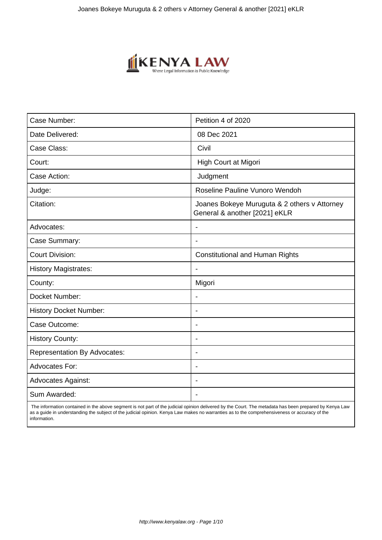

| Case Number:                        | Petition 4 of 2020                                                            |
|-------------------------------------|-------------------------------------------------------------------------------|
| Date Delivered:                     | 08 Dec 2021                                                                   |
| Case Class:                         | Civil                                                                         |
| Court:                              | High Court at Migori                                                          |
| Case Action:                        | Judgment                                                                      |
| Judge:                              | Roseline Pauline Vunoro Wendoh                                                |
| Citation:                           | Joanes Bokeye Muruguta & 2 others v Attorney<br>General & another [2021] eKLR |
| Advocates:                          |                                                                               |
| Case Summary:                       |                                                                               |
| <b>Court Division:</b>              | <b>Constitutional and Human Rights</b>                                        |
| <b>History Magistrates:</b>         |                                                                               |
| County:                             | Migori                                                                        |
| Docket Number:                      |                                                                               |
| <b>History Docket Number:</b>       | $\blacksquare$                                                                |
| Case Outcome:                       |                                                                               |
| <b>History County:</b>              | $\overline{\phantom{0}}$                                                      |
| <b>Representation By Advocates:</b> | $\overline{\phantom{0}}$                                                      |
| Advocates For:                      | $\blacksquare$                                                                |
| <b>Advocates Against:</b>           |                                                                               |
| Sum Awarded:                        |                                                                               |

 The information contained in the above segment is not part of the judicial opinion delivered by the Court. The metadata has been prepared by Kenya Law as a guide in understanding the subject of the judicial opinion. Kenya Law makes no warranties as to the comprehensiveness or accuracy of the information.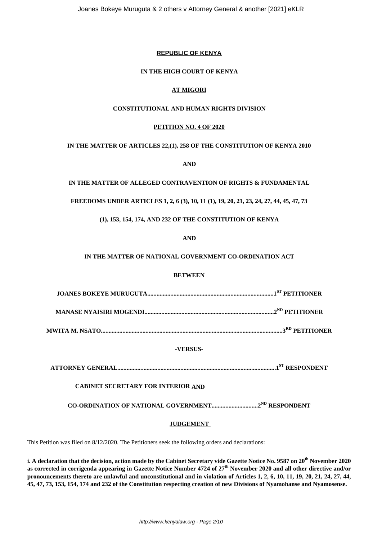## **REPUBLIC OF KENYA**

## **IN THE HIGH COURT OF KENYA**

## **AT MIGORI**

## **CONSTITUTIONAL AND HUMAN RIGHTS DIVISION**

### **PETITION NO. 4 OF 2020**

## **IN THE MATTER OF ARTICLES 22,(1), 258 OF THE CONSTITUTION OF KENYA 2010**

**AND**

# **IN THE MATTER OF ALLEGED CONTRAVENTION OF RIGHTS & FUNDAMENTAL**

## **FREEDOMS UNDER ARTICLES 1, 2, 6 (3), 10, 11 (1), 19, 20, 21, 23, 24, 27, 44, 45, 47, 73**

# **(1), 153, 154, 174, AND 232 OF THE CONSTITUTION OF KENYA**

**AND**

## **IN THE MATTER OF NATIONAL GOVERNMENT CO-ORDINATION ACT**

## **BETWEEN**

**MANASE NYAISIRI MOGENDI....................................................................................2ND PETITIONER**

**MWITA M. NSATO......................................................................................................................3RD PETITIONER**

### **-VERSUS-**

**ATTORNEY GENERAL.......................................................................................................1ST RESPONDENT**

# **CABINET SECRETARY FOR INTERIOR AND**

**CO-ORDINATION OF NATIONAL GOVERNMENT..............................2ND RESPONDENT**

### **JUDGEMENT**

This Petition was filed on 8/12/2020. The Petitioners seek the following orders and declarations:

**i. A declaration that the decision, action made by the Cabinet Secretary vide Gazette Notice No. 9587 on 20th November 2020 as corrected in corrigenda appearing in Gazette Notice Number 4724 of 27th November 2020 and all other directive and/or pronouncements thereto are unlawful and unconstitutional and in violation of Articles 1, 2, 6, 10, 11, 19, 20, 21, 24, 27, 44, 45, 47, 73, 153, 154, 174 and 232 of the Constitution respecting creation of new Divisions of Nyamohanse and Nyamosense.**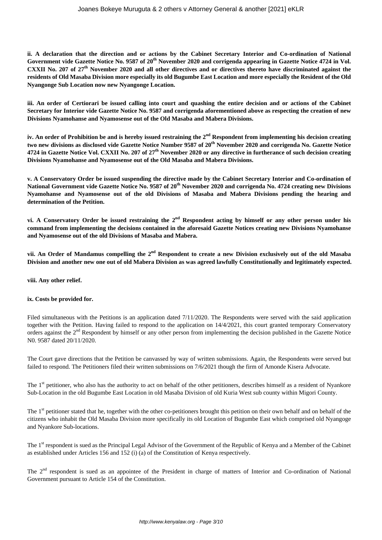**ii. A declaration that the direction and or actions by the Cabinet Secretary Interior and Co-ordination of National Government vide Gazette Notice No. 9587 of 20th November 2020 and corrigenda appearing in Gazette Notice 4724 in Vol. CXXII No. 207 of 27th November 2020 and all other directives and or directives thereto have discriminated against the residents of Old Masaba Division more especially its old Bugumbe East Location and more especially the Resident of the Old Nyangonge Sub Location now new Nyangonge Location.** 

**iii. An order of Certiorari be issued calling into court and quashing the entire decision and or actions of the Cabinet Secretary for Interior vide Gazette Notice No. 9587 and corrigenda aforementioned above as respecting the creation of new Divisions Nyamohanse and Nyamosense out of the Old Masaba and Mabera Divisions.** 

**iv. An order of Prohibition be and is hereby issued restraining the 2nd Respondent from implementing his decision creating two new divisions as disclosed vide Gazette Notice Number 9587 of 20th November 2020 and corrigenda No. Gazette Notice 4724 in Gazette Notice Vol. CXXII No. 207 of 27th November 2020 or any directive in furtherance of such decision creating Divisions Nyamohanse and Nyamosense out of the Old Masaba and Mabera Divisions.**

**v. A Conservatory Order be issued suspending the directive made by the Cabinet Secretary Interior and Co-ordination of National Government vide Gazette Notice No. 9587 of 20th November 2020 and corrigenda No. 4724 creating new Divisions Nyamohanse and Nyamosense out of the old Divisions of Masaba and Mabera Divisions pending the hearing and determination of the Petition.** 

**vi. A Conservatory Order be issued restraining the 2nd Respondent acting by himself or any other person under his command from implementing the decisions contained in the aforesaid Gazette Notices creating new Divisions Nyamohanse and Nyamosense out of the old Divisions of Masaba and Mabera.**

**vii. An Order of Mandamus compelling the 2nd Respondent to create a new Division exclusively out of the old Masaba Division and another new one out of old Mabera Division as was agreed lawfully Constitutionally and legitimately expected.** 

### **viii. Any other relief.**

### **ix. Costs be provided for.**

Filed simultaneous with the Petitions is an application dated 7/11/2020. The Respondents were served with the said application together with the Petition. Having failed to respond to the application on 14/4/2021, this court granted temporary Conservatory orders against the 2nd Respondent by himself or any other person from implementing the decision published in the Gazette Notice N0. 9587 dated 20/11/2020.

The Court gave directions that the Petition be canvassed by way of written submissions. Again, the Respondents were served but failed to respond. The Petitioners filed their written submissions on 7/6/2021 though the firm of Amonde Kisera Advocate.

The 1<sup>st</sup> petitioner, who also has the authority to act on behalf of the other petitioners, describes himself as a resident of Nyankore Sub-Location in the old Bugumbe East Location in old Masaba Division of old Kuria West sub county within Migori County.

The 1<sup>st</sup> petitioner stated that he, together with the other co-petitioners brought this petition on their own behalf and on behalf of the citizens who inhabit the Old Masaba Division more specifically its old Location of Bugumbe East which comprised old Nyangoge and Nyankore Sub-locations.

The 1<sup>st</sup> respondent is sued as the Principal Legal Advisor of the Government of the Republic of Kenya and a Member of the Cabinet as established under Articles 156 and 152 (i) (a) of the Constitution of Kenya respectively.

The  $2<sup>nd</sup>$  respondent is sued as an appointee of the President in charge of matters of Interior and Co-ordination of National Government pursuant to Article 154 of the Constitution.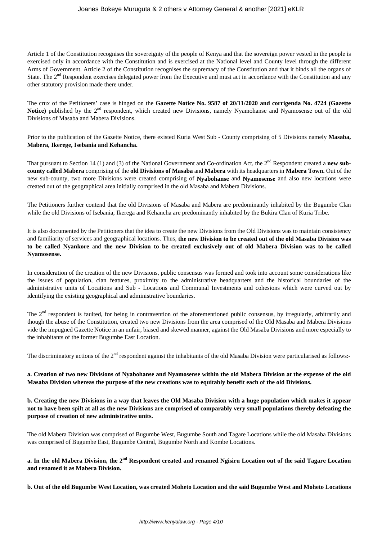Article 1 of the Constitution recognises the sovereignty of the people of Kenya and that the sovereign power vested in the people is exercised only in accordance with the Constitution and is exercised at the National level and County level through the different Arms of Government. Article 2 of the Constitution recognises the supremacy of the Constitution and that it binds all the organs of State. The  $2<sup>nd</sup>$  Respondent exercises delegated power from the Executive and must act in accordance with the Constitution and any other statutory provision made there under.

The crux of the Petitioners' case is hinged on the **Gazette Notice No. 9587 of 20/11/2020 and corrigenda No. 4724 (Gazette** Notice) published by the 2<sup>nd</sup> respondent, which created new Divisions, namely Nyamohanse and Nyamosense out of the old Divisions of Masaba and Mabera Divisions.

Prior to the publication of the Gazette Notice, there existed Kuria West Sub - County comprising of 5 Divisions namely **Masaba, Mabera, Ikerege, Isebania and Kehancha.**

That pursuant to Section 14 (1) and (3) of the National Government and Co-ordination Act, the 2<sup>nd</sup> Respondent created a **new subcounty called Mabera** comprising of the **old Divisions of Masaba** and **Mabera** with its headquarters in **Mabera Town.** Out of the new sub-county, two more Divisions were created comprising of **Nyabohanse** and **Nyamosense** and also new locations were created out of the geographical area initially comprised in the old Masaba and Mabera Divisions.

The Petitioners further contend that the old Divisions of Masaba and Mabera are predominantly inhabited by the Bugumbe Clan while the old Divisions of Isebania, Ikerega and Kehancha are predominantly inhabited by the Bukira Clan of Kuria Tribe.

It is also documented by the Petitioners that the idea to create the new Divisions from the Old Divisions was to maintain consistency and familiarity of services and geographical locations. Thus, **the new Division to be created out of the old Masaba Division was to be called Nyankore** and **the new Division to be created exclusively out of old Mabera Division was to be called Nyamosense.** 

In consideration of the creation of the new Divisions, public consensus was formed and took into account some considerations like the issues of population, clan features, proximity to the administrative headquarters and the historical boundaries of the administrative units of Locations and Sub - Locations and Communal Investments and cohesions which were curved out by identifying the existing geographical and administrative boundaries.

The  $2<sup>nd</sup>$  respondent is faulted, for being in contravention of the aforementioned public consensus, by irregularly, arbitrarily and though the abuse of the Constitution, created two new Divisions from the area comprised of the Old Masaba and Mabera Divisions vide the impugned Gazette Notice in an unfair, biased and skewed manner, against the Old Masaba Divisions and more especially to the inhabitants of the former Bugumbe East Location.

The discriminatory actions of the  $2<sup>nd</sup>$  respondent against the inhabitants of the old Masaba Division were particularised as follows:-

### **a. Creation of two new Divisions of Nyabohanse and Nyamosense within the old Mabera Division at the expense of the old Masaba Division whereas the purpose of the new creations was to equitably benefit each of the old Divisions.**

**b. Creating the new Divisions in a way that leaves the Old Masaba Division with a huge population which makes it appear not to have been spilt at all as the new Divisions are comprised of comparably very small populations thereby defeating the purpose of creation of new administrative units.** 

The old Mabera Division was comprised of Bugumbe West, Bugumbe South and Tagare Locations while the old Masaba Divisions was comprised of Bugumbe East, Bugumbe Central, Bugumbe North and Kombe Locations.

**a. In the old Mabera Division, the 2nd Respondent created and renamed Ngisiru Location out of the said Tagare Location and renamed it as Mabera Division.** 

**b. Out of the old Bugumbe West Location, was created Moheto Location and the said Bugumbe West and Moheto Locations**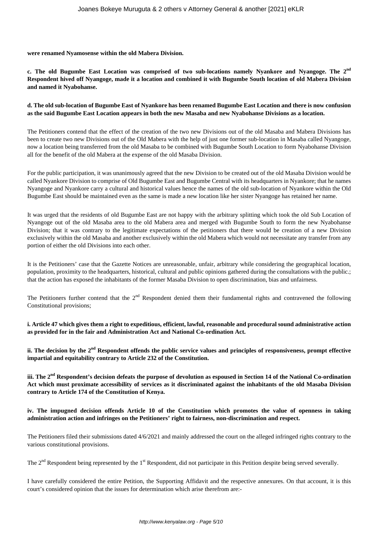**were renamed Nyamosense within the old Mabera Division.**

**c. The old Bugumbe East Location was comprised of two sub-locations namely Nyankore and Nyangoge. The 2nd Respondent hived off Nyangoge, made it a location and combined it with Bugumbe South location of old Mabera Division and named it Nyabohanse.**

### **d. The old sub-location of Bugumbe East of Nyankore has been renamed Bugumbe East Location and there is now confusion as the said Bugumbe East Location appears in both the new Masaba and new Nyabohanse Divisions as a location.**

The Petitioners contend that the effect of the creation of the two new Divisions out of the old Masaba and Mabera Divisions has been to create two new Divisions out of the Old Mabera with the help of just one former sub-location in Masaba called Nyangoge, now a location being transferred from the old Masaba to be combined with Bugumbe South Location to form Nyabohanse Division all for the benefit of the old Mabera at the expense of the old Masaba Division.

For the public participation, it was unanimously agreed that the new Division to be created out of the old Masaba Division would be called Nyankore Division to comprise of Old Bugumbe East and Bugumbe Central with its headquarters in Nyankore; that he names Nyangoge and Nyankore carry a cultural and historical values hence the names of the old sub-location of Nyankore within the Old Bugumbe East should be maintained even as the same is made a new location like her sister Nyangoge has retained her name.

It was urged that the residents of old Bugumbe East are not happy with the arbitrary splitting which took the old Sub Location of Nyangoge out of the old Masaba area to the old Mabera area and merged with Bugumbe South to form the new Nyabohanse Division; that it was contrary to the legitimate expectations of the petitioners that there would be creation of a new Division exclusively within the old Masaba and another exclusively within the old Mabera which would not necessitate any transfer from any portion of either the old Divisions into each other.

It is the Petitioners' case that the Gazette Notices are unreasonable, unfair, arbitrary while considering the geographical location, population, proximity to the headquarters, historical, cultural and public opinions gathered during the consultations with the public.; that the action has exposed the inhabitants of the former Masaba Division to open discrimination, bias and unfairness.

The Petitioners further contend that the  $2<sup>nd</sup>$  Respondent denied them their fundamental rights and contravened the following Constitutional provisions;

**i. Article 47 which gives them a right to expeditious, efficient, lawful, reasonable and procedural sound administrative action as provided for in the fair and Administration Act and National Co-ordination Act.** 

**ii. The decision by the 2nd Respondent offends the public service values and principles of responsiveness, prompt effective impartial and equitability contrary to Article 232 of the Constitution.** 

**iii. The 2nd Respondent's decision defeats the purpose of devolution as espoused in Section 14 of the National Co-ordination Act which must proximate accessibility of services as it discriminated against the inhabitants of the old Masaba Division contrary to Article 174 of the Constitution of Kenya.** 

## **iv. The impugned decision offends Article 10 of the Constitution which promotes the value of openness in taking administration action and infringes on the Petitioners' right to fairness, non-discrimination and respect.**

The Petitioners filed their submissions dated 4/6/2021 and mainly addressed the court on the alleged infringed rights contrary to the various constitutional provisions.

The  $2<sup>nd</sup>$  Respondent being represented by the  $1<sup>st</sup>$  Respondent, did not participate in this Petition despite being served severally.

I have carefully considered the entire Petition, the Supporting Affidavit and the respective annexures. On that account, it is this court's considered opinion that the issues for determination which arise therefrom are:-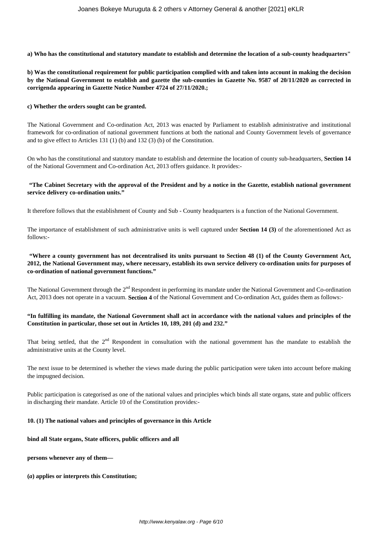**a) Who has the constitutional and statutory mandate to establish and determine the location of a sub-county headquarters"**

**b) Was the constitutional requirement for public participation complied with and taken into account in making the decision by the National Government to establish and gazette the sub-counties in Gazette No. 9587 of 20/11/2020 as corrected in corrigenda appearing in Gazette Notice Number 4724 of 27/11/2020.;**

#### **c) Whether the orders sought can be granted.**

The National Government and Co-ordination Act, 2013 was enacted by Parliament to establish administrative and institutional framework for co-ordination of national government functions at both the national and County Government levels of governance and to give effect to Articles 131 (1) (b) and 132 (3) (b) of the Constitution.

On who has the constitutional and statutory mandate to establish and determine the location of county sub-headquarters, **Section 14** of the National Government and Co-ordination Act, 2013 offers guidance. It provides:-

#### **"The Cabinet Secretary with the approval of the President and by a notice in the Gazette, establish national government service delivery co-ordination units."**

It therefore follows that the establishment of County and Sub - County headquarters is a function of the National Government.

The importance of establishment of such administrative units is well captured under **Section 14 (3)** of the aforementioned Act as follows:-

## **"Where a county government has not decentralised its units pursuant to Section 48 (1) of the County Government Act, 2012, the National Government may, where necessary, establish its own service delivery co-ordination units for purposes of co-ordination of national government functions."**

The National Government through the 2<sup>nd</sup> Respondent in performing its mandate under the National Government and Co-ordination Act, 2013 does not operate in a vacuum. **Section 4** of the National Government and Co-ordination Act, guides them as follows:-

### **"In fulfilling its mandate, the National Government shall act in accordance with the national values and principles of the Constitution in particular, those set out in Articles 10, 189, 201 (d) and 232."**

That being settled, that the  $2<sup>nd</sup>$  Respondent in consultation with the national government has the mandate to establish the administrative units at the County level.

The next issue to be determined is whether the views made during the public participation were taken into account before making the impugned decision.

Public participation is categorised as one of the national values and principles which binds all state organs, state and public officers in discharging their mandate. Article 10 of the Constitution provides:-

#### **10. (1) The national values and principles of governance in this Article**

### **bind all State organs, State officers, public officers and all**

**persons whenever any of them—** 

#### **(***a***) applies or interprets this Constitution;**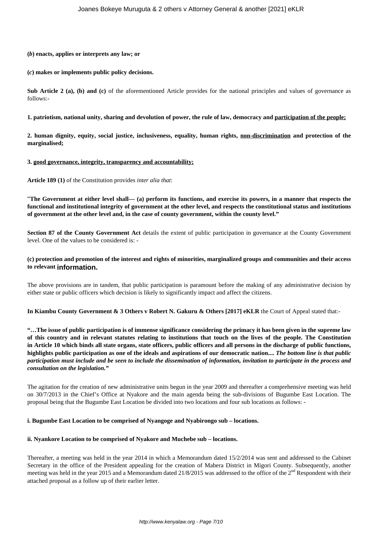#### **(***b***) enacts, applies or interprets any law; or**

#### **(***c***) makes or implements public policy decisions.**

**Sub Article 2 (a), (b) and (c)** of the aforementioned Article provides for the national principles and values of governance as follows:-

#### **1. patriotism, national unity, sharing and devolution of power, the rule of law, democracy and participation of the people;**

**2. human dignity, equity, social justice, inclusiveness, equality, human rights, non-discrimination and protection of the marginalised;** 

#### **3. good governance, integrity, transparency and accountability;**

**Article 189 (1)** of the Constitution provides *inter alia that*:

"**The Government at either level shall— (a) perform its functions, and exercise its powers, in a manner that respects the functional and institutional integrity of government at the other level, and respects the constitutional status and institutions of government at the other level and, in the case of county government, within the county level."**

**Section 87 of the County Government Act** details the extent of public participation in governance at the County Government level. One of the values to be considered is: -

### **(c) protection and promotion of the interest and rights of minorities, marginalized groups and communities and their access to relevant information.**

The above provisions are in tandem, that public participation is paramount before the making of any administrative decision by either state or public officers which decision is likely to significantly impact and affect the citizens.

**In Kiambu County Government & 3 Others v Robert N. Gakuru & Others [2017] eKLR** the Court of Appeal stated that:-

**"…The issue of public participation is of immense significance considering the primacy it has been given in the supreme law of this country and in relevant statutes relating to institutions that touch on the lives of the people. The Constitution in Article 10 which binds all state organs, state officers, public officers and all persons in the discharge of public functions, highlights public participation as one of the ideals and aspirations of our democratic nation....** *The bottom line is that public participation must include and be seen to include the dissemination of information, invitation to participate in the process and consultation on the legislation."*

The agitation for the creation of new administrative units begun in the year 2009 and thereafter a comprehensive meeting was held on 30/7/2013 in the Chief's Office at Nyakore and the main agenda being the sub-divisions of Bugumbe East Location. The proposal being that the Bugumbe East Location be divided into two locations and four sub locations as follows: -

### **i. Bugumbe East Location to be comprised of Nyangoge and Nyabirongo sub – locations.**

### **ii. Nyankore Location to be comprised of Nyakore and Muchebe sub – locations.**

Thereafter, a meeting was held in the year 2014 in which a Memorandum dated 15/2/2014 was sent and addressed to the Cabinet Secretary in the office of the President appealing for the creation of Mabera District in Migori County. Subsequently, another meeting was held in the year 2015 and a Memorandum dated  $21/8/2015$  was addressed to the office of the  $2<sup>nd</sup>$  Respondent with their attached proposal as a follow up of their earlier letter.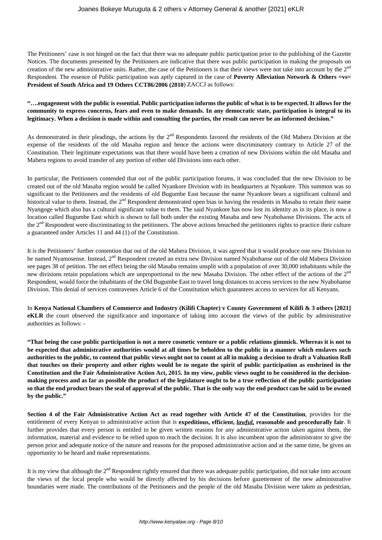The Petitioners' case is not hinged on the fact that there was no adequate public participation prior to the publishing of the Gazette Notices. The documents presented by the Petitioners are indicative that there was public participation in making the proposals on creation of the new administrative units. Rather, the case of the Petitioners is that their views were not take into account by the  $2<sup>nd</sup>$ Respondent. The essence of Public participation was aptly captured in the case of **Poverty Alleviation Network & Others =vs= President of South Africa and 19 Others CCT86/2006 (2010**) ZACCJ as follows:

### **"….engagement with the public is essential. Public participation informs the public of what is to be expected. It allows for the community to express concerns, fears and even to make demands. In any democratic state, participation is integral to its legitimacy. When a decision is made within and consulting the parties, the result can never be an informed decision."**

As demonstrated in their pleadings, the actions by the 2<sup>nd</sup> Respondents favored the residents of the Old Mabera Division at the expense of the residents of the old Masaba region and hence the actions were discriminatory contrary to Article 27 of the Constitution. Their legitimate expectations was that there would have been a creation of new Divisions within the old Masaba and Mabera regions to avoid transfer of any portion of either old Divisions into each other.

In particular, the Petitioners contended that out of the public participation forums, it was concluded that the new Division to be created out of the old Masaba region would be called Nyankore Division with its headquarters at Nyankore. This summon was so significant to the Petitioners and the residents of old Bugumbe East because the name Nyankore bears a significant cultural and historical value to them. Instead, the  $2<sup>nd</sup>$  Respondent demonstrated open bias in having the residents in Masaba to retain their name Nyangoge which also has a cultural significant value to them. The said Nyankore has now lost its identity as in its place, is now a location called Bugumbe East which is shown to fall both under the existing Masaba and new Nyabohanse Divisions. The acts of the 2<sup>nd</sup> Respondent were discriminating to the petitioners. The above actions breached the petitioners rights to practice their culture a guaranteed under Articles 11 and 44 (1) of the Constitution.

It is the Petitioners' further contention that out of the old Mabera Division, it was agreed that it would produce one new Division to be named Nyamosense. Instead, 2<sup>nd</sup> Respondent created an extra new Division named Nyabohanse out of the old Mabera Division see pages 38 of petition. The net effect being the old Masaba remains unsplit with a population of over 30,000 inhabitants while the new divisions retain populations which are unproportional to the new Masaba Division. The other effect of the actions of the 2<sup>nd</sup> Respondent, would force the inhabitants of the Old Bugumbe East to travel long distances to access services to the new Nyabohanse Division. This denial of services contravenes Article 6 of the Constitution which guarantees access to services for all Kenyans.

In **Kenya National Chambers of Commerce and Industry (Kilifi Chapter) v County Government of Kilifi & 3 others [2021] eKLR** the court observed the significance and importance of taking into account the views of the public by administrative authorities as follows: -

**"That being the case public participation is not a mere cosmetic venture or a public relations gimmick. Whereas it is not to be expected that administrative authorities would at all times be beholden to the public in a manner which enslaves such authorities to the public, to contend that public views ought not to count at all in making a decision to draft a Valuation Roll that touches on their property and other rights would be to negate the spirit of public participation as enshrined in the Constitution and the Fair Administrative Action Act, 2015. In my view, public views ought to be considered in the decisionmaking process and as far as possible the product of the legislature ought to be a true reflection of the public participation so that the end product bears the seal of approval of the public. That is the only way the end product can be said to be owned by the public."**

**Section 4 of the Fair Administrative Action Act as read together with Article 47 of the Constitution**, provides for the entitlement of every Kenyan to administrative action that is **expeditious, efficient,** *lawful,* **reasonable and procedurally fair**. It further provides that every person is entitled to be given written reasons for any administrative action taken against them, the information, material and evidence to be relied upon to reach the decision. It is also incumbent upon the administrator to give the person prior and adequate notice of the nature and reasons for the proposed administrative action and at the same time, be given an opportunity to be heard and make representations.

It is my view that although the  $2<sup>nd</sup>$  Respondent rightly ensured that there was adequate public participation, did not take into account the views of the local people who would be directly affected by his decisions before gazettement of the new administrative boundaries were made. The contributions of the Petitioners and the people of the old Masaba Division were taken as pedestrian,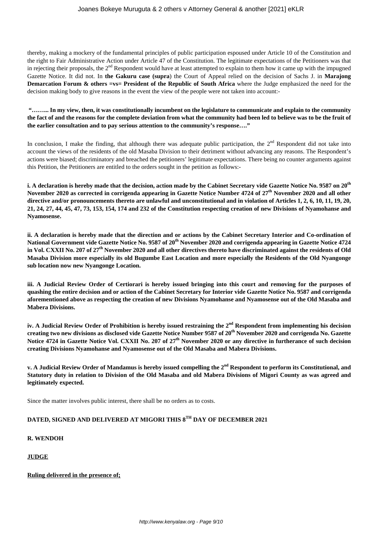thereby, making a mockery of the fundamental principles of public participation espoused under Article 10 of the Constitution and the right to Fair Administrative Action under Article 47 of the Constitution. The legitimate expectations of the Petitioners was that in rejecting their proposals, the  $2<sup>nd</sup>$  Respondent would have at least attempted to explain to them how it came up with the impugned Gazette Notice. It did not. In **the Gakuru case (supra**) the Court of Appeal relied on the decision of Sachs J. in **Marajong Demarcation Forum & others =vs= President of the Republic of South Africa** where the Judge emphasized the need for the decision making body to give reasons in the event the view of the people were not taken into account:-

**"……... In my view, then, it was constitutionally incumbent on the legislature to communicate and explain to the community the fact of and the reasons for the complete deviation from what the community had been led to believe was to be the fruit of the earlier consultation and to pay serious attention to the community's response…."** 

In conclusion, I make the finding, that although there was adequate public participation, the  $2<sup>nd</sup>$  Respondent did not take into account the views of the residents of the old Masaba Division to their detriment without advancing any reasons. The Respondent's actions were biased; discriminatory and breached the petitioners' legitimate expectations. There being no counter arguments against this Petition, the Petitioners are entitled to the orders sought in the petition as follows:-

**i. A declaration is hereby made that the decision, action made by the Cabinet Secretary vide Gazette Notice No. 9587 on 20th November 2020 as corrected in corrigenda appearing in Gazette Notice Number 4724 of 27th November 2020 and all other directive and/or pronouncements thereto are unlawful and unconstitutional and in violation of Articles 1, 2, 6, 10, 11, 19, 20, 21, 24, 27, 44, 45, 47, 73, 153, 154, 174 and 232 of the Constitution respecting creation of new Divisions of Nyamohanse and Nyamosense.** 

**ii. A declaration is hereby made that the direction and or actions by the Cabinet Secretary Interior and Co-ordination of National Government vide Gazette Notice No. 9587 of 20th November 2020 and corrigenda appearing in Gazette Notice 4724 in Vol. CXXII No. 207 of 27th November 2020 and all other directives thereto have discriminated against the residents of Old Masaba Division more especially its old Bugumbe East Location and more especially the Residents of the Old Nyangonge sub location now new Nyangonge Location.** 

**iii. A Judicial Review Order of Certiorari is hereby issued bringing into this court and removing for the purposes of quashing the entire decision and or action of the Cabinet Secretary for Interior vide Gazette Notice No. 9587 and corrigenda aforementioned above as respecting the creation of new Divisions Nyamohanse and Nyamosense out of the Old Masaba and Mabera Divisions.** 

**iv. A Judicial Review Order of Prohibition is hereby issued restraining the 2nd Respondent from implementing his decision creating two new divisions as disclosed vide Gazette Notice Number 9587 of 20th November 2020 and corrigenda No. Gazette Notice 4724 in Gazette Notice Vol. CXXII No. 207 of 27th November 2020 or any directive in furtherance of such decision creating Divisions Nyamohanse and Nyamosense out of the Old Masaba and Mabera Divisions.**

**v. A Judicial Review Order of Mandamus is hereby issued compelling the 2nd Respondent to perform its Constitutional, and Statutory duty in relation to Division of the Old Masaba and old Mabera Divisions of Migori County as was agreed and legitimately expected.** 

Since the matter involves public interest, there shall be no orders as to costs.

# **DATED, SIGNED AND DELIVERED AT MIGORI THIS 8TH DAY OF DECEMBER 2021**

## **R. WENDOH**

### **JUDGE**

**Ruling delivered in the presence of;**